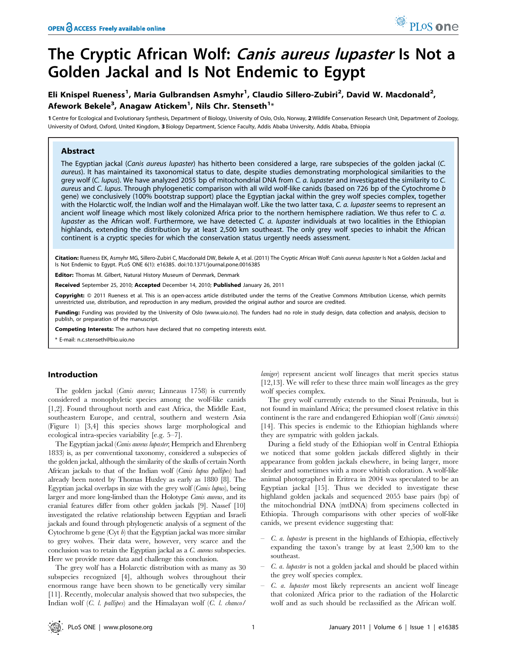# The Cryptic African Wolf: Canis aureus lupaster Is Not a Golden Jackal and Is Not Endemic to Egypt

# Eli Knispel Rueness<sup>1</sup>, Maria Gulbrandsen Asmyhr<sup>1</sup>, Claudio Sillero-Zubiri<sup>2</sup>, David W. Macdonald<sup>2</sup>, Afework Bekele $^3$ , Anagaw Atickem $^1$ , Nils Chr. Stenseth $^{1_\ast}$

1 Centre for Ecological and Evolutionary Synthesis, Department of Biology, University of Oslo, Oslo, Norway, 2 Wildlife Conservation Research Unit, Department of Zoology, University of Oxford, Oxford, United Kingdom, 3 Biology Department, Science Faculty, Addis Ababa University, Addis Ababa, Ethiopia

# Abstract

The Egyptian jackal (Canis aureus lupaster) has hitherto been considered a large, rare subspecies of the golden jackal (C. aureus). It has maintained its taxonomical status to date, despite studies demonstrating morphological similarities to the grey wolf (C. lupus). We have analyzed 2055 bp of mitochondrial DNA from C. a. lupaster and investigated the similarity to C. aureus and C. lupus. Through phylogenetic comparison with all wild wolf-like canids (based on 726 bp of the Cytochrome b gene) we conclusively (100% bootstrap support) place the Egyptian jackal within the grey wolf species complex, together with the Holarctic wolf, the Indian wolf and the Himalayan wolf. Like the two latter taxa, C. a. lupaster seems to represent an ancient wolf lineage which most likely colonized Africa prior to the northern hemisphere radiation. We thus refer to C. a. lupaster as the African wolf. Furthermore, we have detected C. a. lupaster individuals at two localities in the Ethiopian highlands, extending the distribution by at least 2,500 km southeast. The only grey wolf species to inhabit the African continent is a cryptic species for which the conservation status urgently needs assessment.

Citation: Rueness EK, Asmyhr MG, Sillero-Zubiri C, Macdonald DW, Bekele A, et al. (2011) The Cryptic African Wolf: Canis aureus lupaster Is Not a Golden Jackal and Is Not Endemic to Egypt. PLoS ONE 6(1): e16385. doi:10.1371/journal.pone.0016385

ditor: Thomas M. Gilbert, Natural History Museum of Denmark, Denmark

Received September 25, 2010; Accepted December 14, 2010; Published January 26, 2011

Copyright: © 2011 Rueness et al. This is an open-access article distributed under the terms of the Creative Commons Attribution License, which permits unrestricted use, distribution, and reproduction in any medium, provided the original author and source are credited.

Funding: Funding was provided by the University of Oslo (www.uio.no). The funders had no role in study design, data collection and analysis, decision to publish, or preparation of the manuscript.

Competing Interests: The authors have declared that no competing interests exist.

\* E-mail: n.c.stenseth@bio.uio.no

# Introduction

The golden jackal (Canis aureus; Linneaus 1758) is currently considered a monophyletic species among the wolf-like canids [1,2]. Found throughout north and east Africa, the Middle East, southeastern Europe, and central, southern and western Asia (Figure 1) [3,4] this species shows large morphological and ecological intra-species variability [e.g. 5–7].

The Egyptian jackal (Canis aureus lupaster; Hemprich and Ehrenberg 1833) is, as per conventional taxonomy, considered a subspecies of the golden jackal, although the similarity of the skulls of certain North African jackals to that of the Indian wolf (Canis lupus pallipes) had already been noted by Thomas Huxley as early as 1880 [8]. The Egyptian jackal overlaps in size with the grey wolf (Canis lupus), being larger and more long-limbed than the Holotype Canis aureus, and its cranial features differ from other golden jackals [9]. Nassef [10] investigated the relative relationship between Egyptian and Israeli jackals and found through phylogenetic analysis of a segment of the Cytochrome b gene  $(Cyt b)$  that the Egyptian jackal was more similar to grey wolves. Their data were, however, very scarce and the conclusion was to retain the Egyptian jackal as a C. aureus subspecies. Here we provide more data and challenge this conclusion.

The grey wolf has a Holarctic distribution with as many as 30 subspecies recognized [4], although wolves throughout their enormous range have been shown to be genetically very similar [11]. Recently, molecular analysis showed that two subspecies, the Indian wolf (C. l. pallipes) and the Himalayan wolf (C. l. chanco/

laniger) represent ancient wolf lineages that merit species status [12,13]. We will refer to these three main wolf lineages as the grey wolf species complex.

<sup>O</sup>PLoSone

The grey wolf currently extends to the Sinai Peninsula, but is not found in mainland Africa; the presumed closest relative in this continent is the rare and endangered Ethiopian wolf (Canis simensis) [14]. This species is endemic to the Ethiopian highlands where they are sympatric with golden jackals.

During a field study of the Ethiopian wolf in Central Ethiopia we noticed that some golden jackals differed slightly in their appearance from golden jackals elsewhere, in being larger, more slender and sometimes with a more whitish coloration. A wolf-like animal photographed in Eritrea in 2004 was speculated to be an Egyptian jackal [15]. Thus we decided to investigate these highland golden jackals and sequenced 2055 base pairs (bp) of the mitochondrial DNA (mtDNA) from specimens collected in Ethiopia. Through comparisons with other species of wolf-like canids, we present evidence suggesting that:

- C. a. lupaster is present in the highlands of Ethiopia, effectively expanding the taxon's trange by at least 2,500 km to the southeast.
- C. a. lupaster is not a golden jackal and should be placed within the grey wolf species complex.
- C. a. lupaster most likely represents an ancient wolf lineage that colonized Africa prior to the radiation of the Holarctic wolf and as such should be reclassified as the African wolf.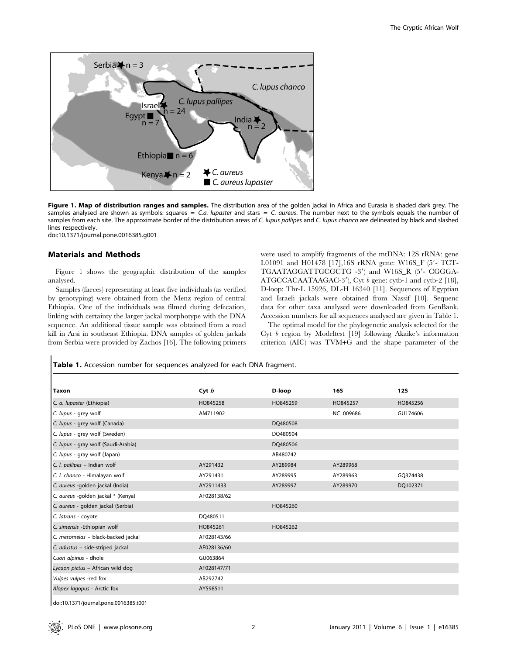

Figure 1. Map of distribution ranges and samples. The distribution area of the golden jackal in Africa and Eurasia is shaded dark grey. The samples analysed are shown as symbols: squares  $= C.a.$  lupaster and stars  $= C.a.$  aureus. The number next to the symbols equals the number of samples from each site. The approximate border of the distribution areas of C. lupus pallipes and C. lupus chanco are delineated by black and slashed lines respectively.

doi:10.1371/journal.pone.0016385.g001

#### Materials and Methods

Figure 1 shows the geographic distribution of the samples analysed.

Samples (faeces) representing at least five individuals (as verified by genotyping) were obtained from the Menz region of central Ethiopia. One of the individuals was filmed during defecation, linking with certainty the larger jackal morphotype with the DNA sequence. An additional tissue sample was obtained from a road kill in Arsi in southeast Ethiopia. DNA samples of golden jackals from Serbia were provided by Zachos [16]. The following primers were used to amplify fragments of the mtDNA: 12S rRNA: gene L01091 and H01478 [17],16S rRNA gene: W16S\_F (5'- TCT-TGAATAGGATTGCGCTG -3') and W16S\_R (5'- CGGGA-ATGCCACAATAAGAC-3'), Cyt b gene: cytb-1 and cytb-2 [18], D-loop: Thr-L 15926, DL-H 16340 [11]. Sequences of Egyptian and Israeli jackals were obtained from Nassif [10]. Sequenc data for other taxa analysed were downloaded from GenBank. Accession numbers for all sequences analysed are given in Table 1.

The optimal model for the phylogenetic analysis selected for the Cyt b region by Modeltest [19] following Akaike's information criterion (AIC) was TVM+G and the shape parameter of the

|  |  | <b>Table 1.</b> Accession number for sequences analyzed for each DNA fragment. |  |  |  |  |  |
|--|--|--------------------------------------------------------------------------------|--|--|--|--|--|
|--|--|--------------------------------------------------------------------------------|--|--|--|--|--|

| Taxon                               | Cyt $b$     | D-loop   | <b>16S</b> | <b>12S</b> |
|-------------------------------------|-------------|----------|------------|------------|
| C. a. lupaster (Ethiopia)           | HQ845258    | HQ845259 | HQ845257   | HQ845256   |
| C. lupus - grey wolf                | AM711902    |          | NC 009686  | GU174606   |
| C. lupus - grey wolf (Canada)       |             | DQ480508 |            |            |
| C. lupus - grey wolf (Sweden)       |             | DQ480504 |            |            |
| C. lupus - gray wolf (Saudi-Arabia) |             | DQ480506 |            |            |
| C. lupus - gray wolf (Japan)        |             | AB480742 |            |            |
| C. I. pallipes - Indian wolf        | AY291432    | AY289984 | AY289968   |            |
| C. I. chanco - Himalayan wolf       | AY291431    | AY289995 | AY289963   | GQ374438   |
| C. aureus -golden jackal (India)    | AY2911433   | AY289997 | AY289970   | DQ102371   |
| C. aureus - golden jackal * (Kenya) | AF028138/62 |          |            |            |
| C. aureus - golden jackal (Serbia)  |             | HO845260 |            |            |
| C. latrans - coyote                 | DQ480511    |          |            |            |
| C. simensis - Ethiopian wolf        | HQ845261    | HQ845262 |            |            |
| C. mesomelas - black-backed jackal  | AF028143/66 |          |            |            |
| C. adustus - side-striped jackal    | AF028136/60 |          |            |            |
| Cuon alpinus - dhole                | GU063864    |          |            |            |
| Lycaon pictus - African wild dog    | AF028147/71 |          |            |            |
| Vulpes vulpes -red fox              | AB292742    |          |            |            |
| Alopex lagopus - Arctic fox         | AY598511    |          |            |            |

doi:10.1371/journal.pone.0016385.t001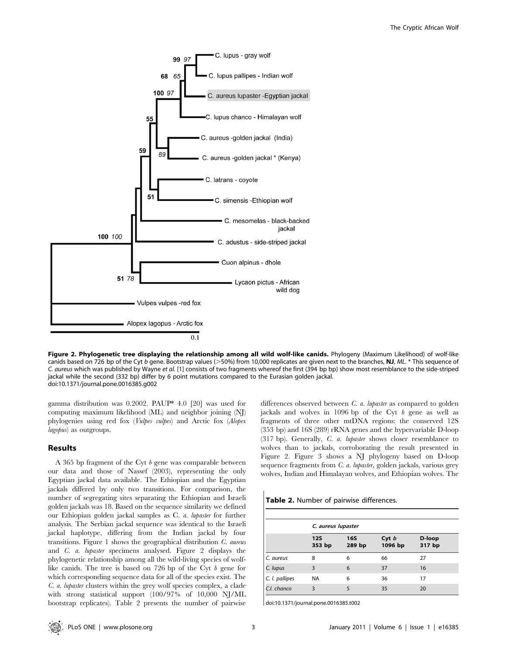

Figure 2. Phylogenetic tree displaying the relationship among all wild wolf-like canids. Phylogeny (Maximum Likelihood) of wolf-like canids based on 726 bp of the Cyt b gene. Bootstrap values ( $>50\%$ ) from 10,000 replicates are given next to the branches, NJ, ML. \* This sequence of C. aureus which was published by Wayne et al. [1] consists of two fragments whereof the first (394 bp bp) show most resemblance to the side-striped jackal while the second (332 bp) differ by 6 point mutations compared to the Eurasian golden jackal. doi:10.1371/journal.pone.0016385.g002

gamma distribution was 0.2002. PAUP\* 4.0 [20] was used for computing maximum likelihood (ML) and neighbor joining (NJ) phylogenies using red fox (Vulpes vulpes) and Arctic fox (Alopex lagopus) as outgroups.

# Results

A 365 bp fragment of the Cyt  $b$  gene was comparable between our data and those of Nassef (2003), representing the only Egyptian jackal data available. The Ethiopian and the Egyptian jackals differed by only two transitions. For comparison, the number of segregating sites separating the Ethiopian and Israeli golden jackals was 18. Based on the sequence similarity we defined our Ethiopian golden jackal samples as C. a. lupaster for further analysis. The Serbian jackal sequence was identical to the Israeli jackal haplotype, differing from the Indian jackal by four transitions. Figure 1 shows the geographical distribution C. aureus and C. a. lupaster specimens analysed. Figure 2 displays the phylogenetic relationship among all the wild-living species of wolflike canids. The tree is based on 726 bp of the Cyt b gene for which corresponding sequence data for all of the species exist. The C. a. lupaster clusters within the grey wolf species complex, a clade with strong statistical support (100/97% of 10,000 NJ/ML bootstrap replicates). Table 2 presents the number of pairwise

differences observed between *C. a. lupaster* as compared to golden jackals and wolves in 1096 bp of the Cyt b gene as well as fragments of three other mtDNA regions: the conserved 12S (353 bp) and 16S (289) rRNA genes and the hypervariable D-loop (317 bp). Generally, C. a. lupaster shows closer resemblance to wolves than to jackals, corroborating the result presented in Figure 2. Figure 3 shows a NJ phylogeny based on D-loop sequence fragments from C. a. lupaster, golden jackals, various grey wolves, Indian and Himalayan wolves, and Ethiopian wolves. The

Table 2. Number of pairwise differences.

|                | C. aureus lupaster   |                      |                  |                  |  |  |
|----------------|----------------------|----------------------|------------------|------------------|--|--|
|                | <b>12S</b><br>353 bp | <b>16S</b><br>289 bp | Cyt b<br>1096 bp | D-loop<br>317 bp |  |  |
| C. aureus      | 8                    | 6                    | 66               | 27               |  |  |
| C. lupus       | 3                    | 6                    | 37               | 16               |  |  |
| C. I. pallipes | <b>NA</b>            | 6                    | 36               | 17               |  |  |
| C.I. chanco    | 3                    | 5                    | 35               | 20               |  |  |

doi:10.1371/journal.pone.0016385.t002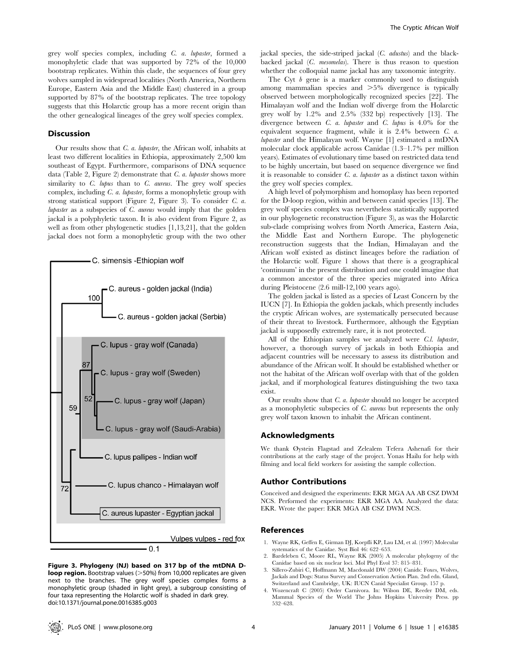grey wolf species complex, including C. a. lupaster, formed a monophyletic clade that was supported by 72% of the 10,000 bootstrap replicates. Within this clade, the sequences of four grey wolves sampled in widespread localities (North America, Northern Europe, Eastern Asia and the Middle East) clustered in a group supported by 87% of the bootstrap replicates. The tree topology suggests that this Holarctic group has a more recent origin than the other genealogical lineages of the grey wolf species complex.

#### **Discussion**

Our results show that C. a. lupaster, the African wolf, inhabits at least two different localities in Ethiopia, approximately 2,500 km southeast of Egypt. Furthermore, comparisons of DNA sequence data (Table 2, Figure 2) demonstrate that  $C$ . *a. lupaster* shows more similarity to  $C$ . *lupus* than to  $C$ . *aureus*. The grey wolf species complex, including C. a. lupaster, forms a monophyletic group with strong statistical support (Figure 2, Figure 3). To consider C. a. *lupaster* as a subspecies of  $C$ . *aureus* would imply that the golden jackal is a polyphyletic taxon. It is also evident from Figure 2, as well as from other phylogenetic studies [1,13,21], that the golden jackal does not form a monophyletic group with the two other



Figure 3. Phylogeny (NJ) based on 317 bp of the mtDNA D**loop region.** Bootstrap values ( $>50\%$ ) from 10,000 replicates are given next to the branches. The grey wolf species complex forms a monophyletic group (shaded in light grey), a subgroup consisting of four taxa representing the Holarctic wolf is shaded in dark grey. doi:10.1371/journal.pone.0016385.g003

jackal species, the side-striped jackal (C. adustus) and the blackbacked jackal (C. mesomelas). There is thus reason to question whether the colloquial name jackal has any taxonomic integrity.

The Cyt  $b$  gene is a marker commonly used to distinguish among mammalian species and  $>5\%$  divergence is typically observed between morphologically recognized species [22]. The Himalayan wolf and the Indian wolf diverge from the Holarctic grey wolf by 1.2% and 2.5% (332 bp) respectively [13]. The divergence between  $C$ . a. lupaster and  $C$ . lupus is 4.0% for the equivalent sequence fragment, while it is 2.4% between C. a. lupaster and the Himalayan wolf. Wayne [1] estimated a mtDNA molecular clock applicable across Canidae (1.3–1.7% per million years). Estimates of evolutionary time based on restricted data tend to be highly uncertain, but based on sequence divergence we find it is reasonable to consider  $C$ .  $a$ . lupaster as a distinct taxon within the grey wolf species complex.

A high level of polymorphism and homoplasy has been reported for the D-loop region, within and between canid species [13]. The grey wolf species complex was nevertheless statistically supported in our phylogenetic reconstruction (Figure 3), as was the Holarctic sub-clade comprising wolves from North America, Eastern Asia, the Middle East and Northern Europe. The phylogenetic reconstruction suggests that the Indian, Himalayan and the African wolf existed as distinct lineages before the radiation of the Holarctic wolf. Figure 1 shows that there is a geographical 'continuum' in the present distribution and one could imagine that a common ancestor of the three species migrated into Africa during Pleistocene (2.6 mill-12,100 years ago).

The golden jackal is listed as a species of Least Concern by the IUCN [7]. In Ethiopia the golden jackals, which presently includes the cryptic African wolves, are systematically persecuted because of their threat to livestock. Furthermore, although the Egyptian jackal is supposedly extremely rare, it is not protected.

All of the Ethiopian samples we analyzed were C.l. lupaster, however, a thorough survey of jackals in both Ethiopia and adjacent countries will be necessary to assess its distribution and abundance of the African wolf. It should be established whether or not the habitat of the African wolf overlap with that of the golden jackal, and if morphological features distinguishing the two taxa exist.

Our results show that C. a. lupaster should no longer be accepted as a monophyletic subspecies of C. aureus but represents the only grey wolf taxon known to inhabit the African continent.

#### Acknowledgments

We thank Øystein Flagstad and Zelealem Tefera Ashenafi for their contributions at the early stage of the project. Yonas Hailu for help with filming and local field workers for assisting the sample collection.

#### Author Contributions

Conceived and designed the experiments: EKR MGA AA AB CSZ DWM NCS. Performed the experiments: EKR MGA AA. Analyzed the data: EKR. Wrote the paper: EKR MGA AB CSZ DWM NCS.

# References

- 1. Wayne RK, Geffen E, Girman DJ, Koepfli KP, Lau LM, et al. (1997) Molecular systematics of the Canidae. Syst Biol 46: 622–653.
- 2. Bardeleben C, Moore RL, Wayne RK (2005) A molecular phylogeny of the Canidae based on six nuclear loci. Mol Phyl Evol 37: 815–831.
- 3. Sillero-Zubiri C, Hoffmann M, Macdonald DW (2004) Canids: Foxes, Wolves, Jackals and Dogs: Status Survey and Conservation Action Plan. 2nd edn. Gland, Switzerland and Cambridge, UK: IUCN Canid Specialist Group. 157 p.
- 4. Wozencraft C (2005) Order Carnivora. In: Wilson DE, Reeder DM, eds. Mammal Species of the World The Johns Hopkins University Press. pp 532–628.